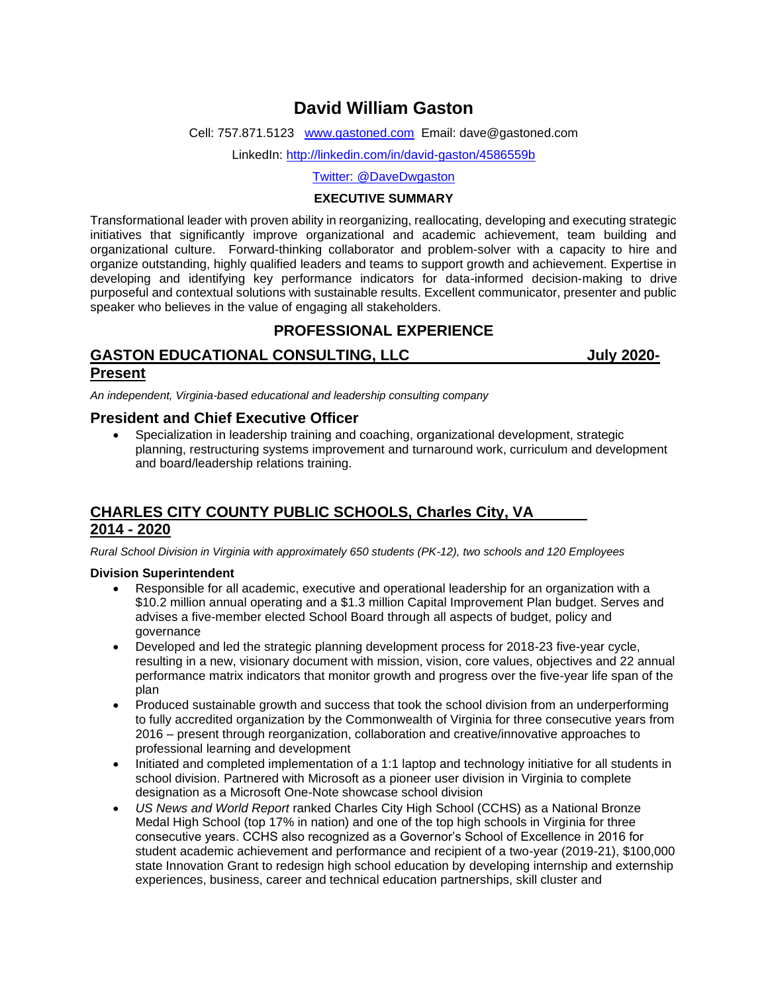# **David William Gaston**

Cell: 757.871.5123 [www.gastoned.com](http://www.gastoned.com/) Email: dave@gastoned.com

LinkedIn:<http://linkedin.com/in/david-gaston/4586559b>

Twitter: @DaveDwgaston

#### **EXECUTIVE SUMMARY**

Transformational leader with proven ability in reorganizing, reallocating, developing and executing strategic initiatives that significantly improve organizational and academic achievement, team building and organizational culture. Forward-thinking collaborator and problem-solver with a capacity to hire and organize outstanding, highly qualified leaders and teams to support growth and achievement. Expertise in developing and identifying key performance indicators for data-informed decision-making to drive purposeful and contextual solutions with sustainable results. Excellent communicator, presenter and public speaker who believes in the value of engaging all stakeholders.

# **PROFESSIONAL EXPERIENCE**

## GASTON EDUCATIONAL CONSULTING, LLC **STATIONAL STATION Present**

*An independent, Virginia-based educational and leadership consulting company*

### **President and Chief Executive Officer**

• Specialization in leadership training and coaching, organizational development, strategic planning, restructuring systems improvement and turnaround work, curriculum and development and board/leadership relations training.

## **CHARLES CITY COUNTY PUBLIC SCHOOLS, Charles City, VA 2014 - 2020**

*Rural School Division in Virginia with approximately 650 students (PK-12), two schools and 120 Employees*

#### **Division Superintendent**

- Responsible for all academic, executive and operational leadership for an organization with a \$10.2 million annual operating and a \$1.3 million Capital Improvement Plan budget. Serves and advises a five-member elected School Board through all aspects of budget, policy and governance
- Developed and led the strategic planning development process for 2018-23 five-year cycle, resulting in a new, visionary document with mission, vision, core values, objectives and 22 annual performance matrix indicators that monitor growth and progress over the five-year life span of the plan
- Produced sustainable growth and success that took the school division from an underperforming to fully accredited organization by the Commonwealth of Virginia for three consecutive years from 2016 – present through reorganization, collaboration and creative/innovative approaches to professional learning and development
- Initiated and completed implementation of a 1:1 laptop and technology initiative for all students in school division. Partnered with Microsoft as a pioneer user division in Virginia to complete designation as a Microsoft One-Note showcase school division
- *US News and World Report* ranked Charles City High School (CCHS) as a National Bronze Medal High School (top 17% in nation) and one of the top high schools in Virginia for three consecutive years. CCHS also recognized as a Governor's School of Excellence in 2016 for student academic achievement and performance and recipient of a two-year (2019-21), \$100,000 state Innovation Grant to redesign high school education by developing internship and externship experiences, business, career and technical education partnerships, skill cluster and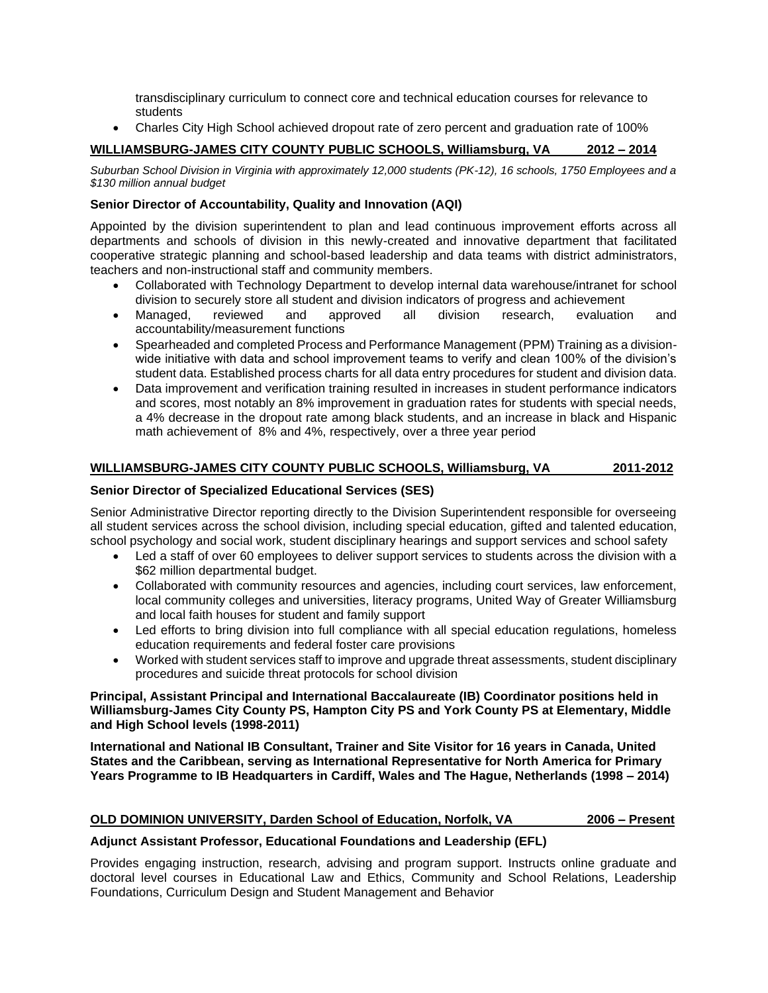transdisciplinary curriculum to connect core and technical education courses for relevance to students

• Charles City High School achieved dropout rate of zero percent and graduation rate of 100%

### **WILLIAMSBURG-JAMES CITY COUNTY PUBLIC SCHOOLS, Williamsburg, VA 2012 – 2014**

*Suburban School Division in Virginia with approximately 12,000 students (PK-12), 16 schools, 1750 Employees and a \$130 million annual budget*

#### **Senior Director of Accountability, Quality and Innovation (AQI)**

Appointed by the division superintendent to plan and lead continuous improvement efforts across all departments and schools of division in this newly-created and innovative department that facilitated cooperative strategic planning and school-based leadership and data teams with district administrators, teachers and non-instructional staff and community members.

- Collaborated with Technology Department to develop internal data warehouse/intranet for school division to securely store all student and division indicators of progress and achievement
- Managed, reviewed and approved all division research, evaluation and accountability/measurement functions
- Spearheaded and completed Process and Performance Management (PPM) Training as a divisionwide initiative with data and school improvement teams to verify and clean 100% of the division's student data. Established process charts for all data entry procedures for student and division data.
- Data improvement and verification training resulted in increases in student performance indicators and scores, most notably an 8% improvement in graduation rates for students with special needs, a 4% decrease in the dropout rate among black students, and an increase in black and Hispanic math achievement of 8% and 4%, respectively, over a three year period

#### **WILLIAMSBURG-JAMES CITY COUNTY PUBLIC SCHOOLS, Williamsburg, VA 2011-2012**

#### **Senior Director of Specialized Educational Services (SES)**

Senior Administrative Director reporting directly to the Division Superintendent responsible for overseeing all student services across the school division, including special education, gifted and talented education, school psychology and social work, student disciplinary hearings and support services and school safety

- Led a staff of over 60 employees to deliver support services to students across the division with a \$62 million departmental budget.
- Collaborated with community resources and agencies, including court services, law enforcement, local community colleges and universities, literacy programs, United Way of Greater Williamsburg and local faith houses for student and family support
- Led efforts to bring division into full compliance with all special education regulations, homeless education requirements and federal foster care provisions
- Worked with student services staff to improve and upgrade threat assessments, student disciplinary procedures and suicide threat protocols for school division

#### **Principal, Assistant Principal and International Baccalaureate (IB) Coordinator positions held in Williamsburg-James City County PS, Hampton City PS and York County PS at Elementary, Middle and High School levels (1998-2011)**

**International and National IB Consultant, Trainer and Site Visitor for 16 years in Canada, United States and the Caribbean, serving as International Representative for North America for Primary Years Programme to IB Headquarters in Cardiff, Wales and The Hague, Netherlands (1998 – 2014)**

#### **OLD DOMINION UNIVERSITY, Darden School of Education, Norfolk, VA 2006 – Present**

#### **Adjunct Assistant Professor, Educational Foundations and Leadership (EFL)**

Provides engaging instruction, research, advising and program support. Instructs online graduate and doctoral level courses in Educational Law and Ethics, Community and School Relations, Leadership Foundations, Curriculum Design and Student Management and Behavior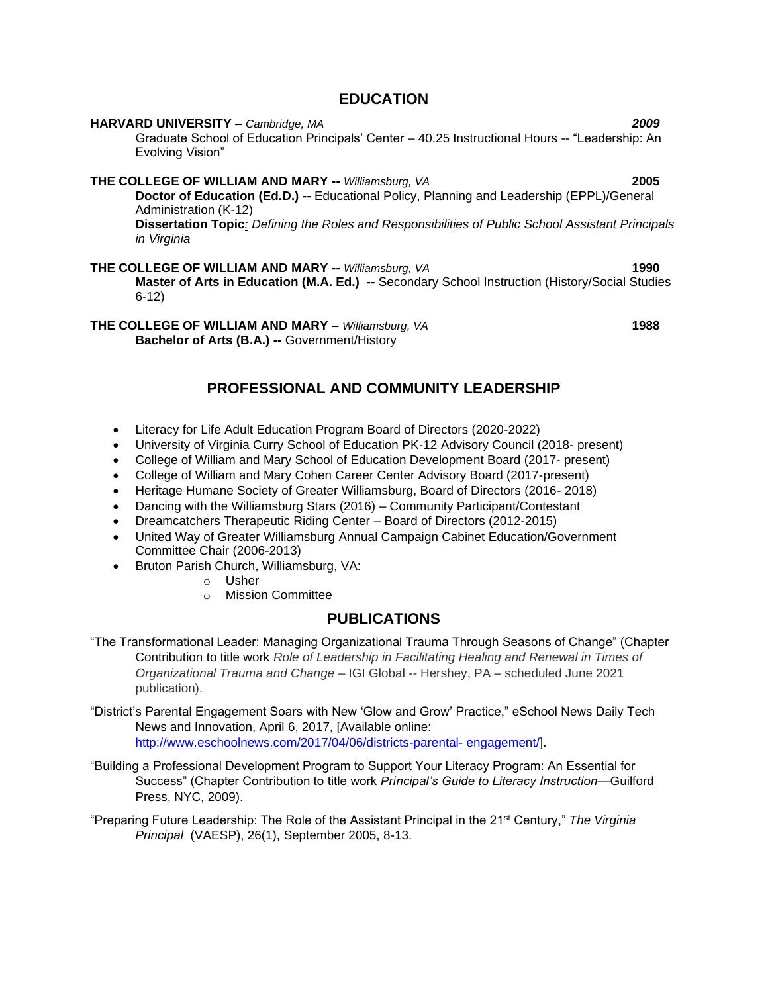## **EDUCATION**

**HARVARD UNIVERSITY –** *Cambridge, MA 2009* Graduate School of Education Principals' Center – 40.25 Instructional Hours -- "Leadership: An Evolving Vision" **THE COLLEGE OF WILLIAM AND MARY --** *Williamsburg, VA* **2005 Doctor of Education (Ed.D.) --** Educational Policy, Planning and Leadership (EPPL)/General Administration (K-12) **Dissertation Topic***: Defining the Roles and Responsibilities of Public School Assistant Principals in Virginia*

**THE COLLEGE OF WILLIAM AND MARY --** *Williamsburg, VA* **1990 Master of Arts in Education (M.A. Ed.) --** Secondary School Instruction (History/Social Studies 6-12)

**THE COLLEGE OF WILLIAM AND MARY –** *Williamsburg, VA* **1988 Bachelor of Arts (B.A.) --** Government/History

# **PROFESSIONAL AND COMMUNITY LEADERSHIP**

- Literacy for Life Adult Education Program Board of Directors (2020-2022)
- University of Virginia Curry School of Education PK-12 Advisory Council (2018- present)
- College of William and Mary School of Education Development Board (2017- present)
- College of William and Mary Cohen Career Center Advisory Board (2017-present)
- Heritage Humane Society of Greater Williamsburg, Board of Directors (2016- 2018)
- Dancing with the Williamsburg Stars (2016) Community Participant/Contestant
- Dreamcatchers Therapeutic Riding Center Board of Directors (2012-2015)
- United Way of Greater Williamsburg Annual Campaign Cabinet Education/Government Committee Chair (2006-2013)
- Bruton Parish Church, Williamsburg, VA:
	- o Usher
	- o Mission Committee

## **PUBLICATIONS**

- "The Transformational Leader: Managing Organizational Trauma Through Seasons of Change" (Chapter Contribution to title work *Role of Leadership in Facilitating Healing and Renewal in Times of Organizational Trauma and Change –* IGI Global *--* Hershey, PA – scheduled June 2021 publication).
- "District's Parental Engagement Soars with New 'Glow and Grow' Practice," eSchool News Daily Tech News and Innovation, April 6, 2017, [Available online: [http://www.eschoolnews.com/2017/04/06/districts-parental-](http://www.eschoolnews.com/2017/04/06/districts-parental-%20engagement/) engagement/].
- "Building a Professional Development Program to Support Your Literacy Program: An Essential for Success" (Chapter Contribution to title work *Principal's Guide to Literacy Instruction*—Guilford Press, NYC, 2009).
- "Preparing Future Leadership: The Role of the Assistant Principal in the 21st Century," *The Virginia Principal* (VAESP), 26(1), September 2005, 8-13.